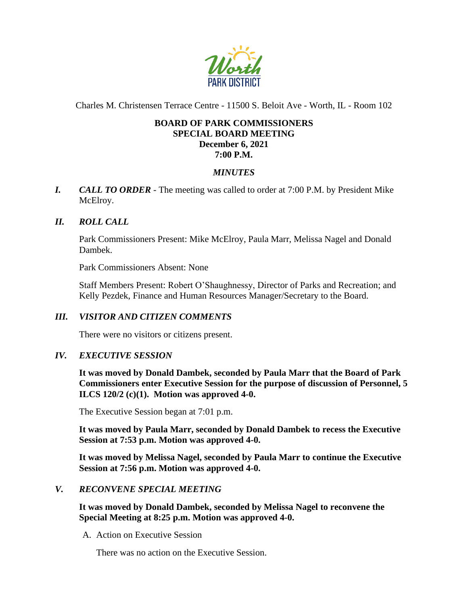

Charles M. Christensen Terrace Centre - 11500 S. Beloit Ave - Worth, IL - Room 102

### **BOARD OF PARK COMMISSIONERS SPECIAL BOARD MEETING December 6, 2021 7:00 P.M.**

# *MINUTES*

*I. CALL TO ORDER* - The meeting was called to order at 7:00 P.M. by President Mike McElroy.

## *II. ROLL CALL*

Park Commissioners Present: Mike McElroy, Paula Marr, Melissa Nagel and Donald Dambek.

Park Commissioners Absent: None

Staff Members Present: Robert O'Shaughnessy, Director of Parks and Recreation; and Kelly Pezdek, Finance and Human Resources Manager/Secretary to the Board.

## *III. VISITOR AND CITIZEN COMMENTS*

There were no visitors or citizens present.

### *IV. EXECUTIVE SESSION*

**It was moved by Donald Dambek, seconded by Paula Marr that the Board of Park Commissioners enter Executive Session for the purpose of discussion of Personnel, 5 ILCS 120/2 (c)(1). Motion was approved 4-0.**

The Executive Session began at 7:01 p.m.

**It was moved by Paula Marr, seconded by Donald Dambek to recess the Executive Session at 7:53 p.m. Motion was approved 4-0.**

**It was moved by Melissa Nagel, seconded by Paula Marr to continue the Executive Session at 7:56 p.m. Motion was approved 4-0.** 

### *V. RECONVENE SPECIAL MEETING*

**It was moved by Donald Dambek, seconded by Melissa Nagel to reconvene the Special Meeting at 8:25 p.m. Motion was approved 4-0.** 

A. Action on Executive Session

There was no action on the Executive Session.